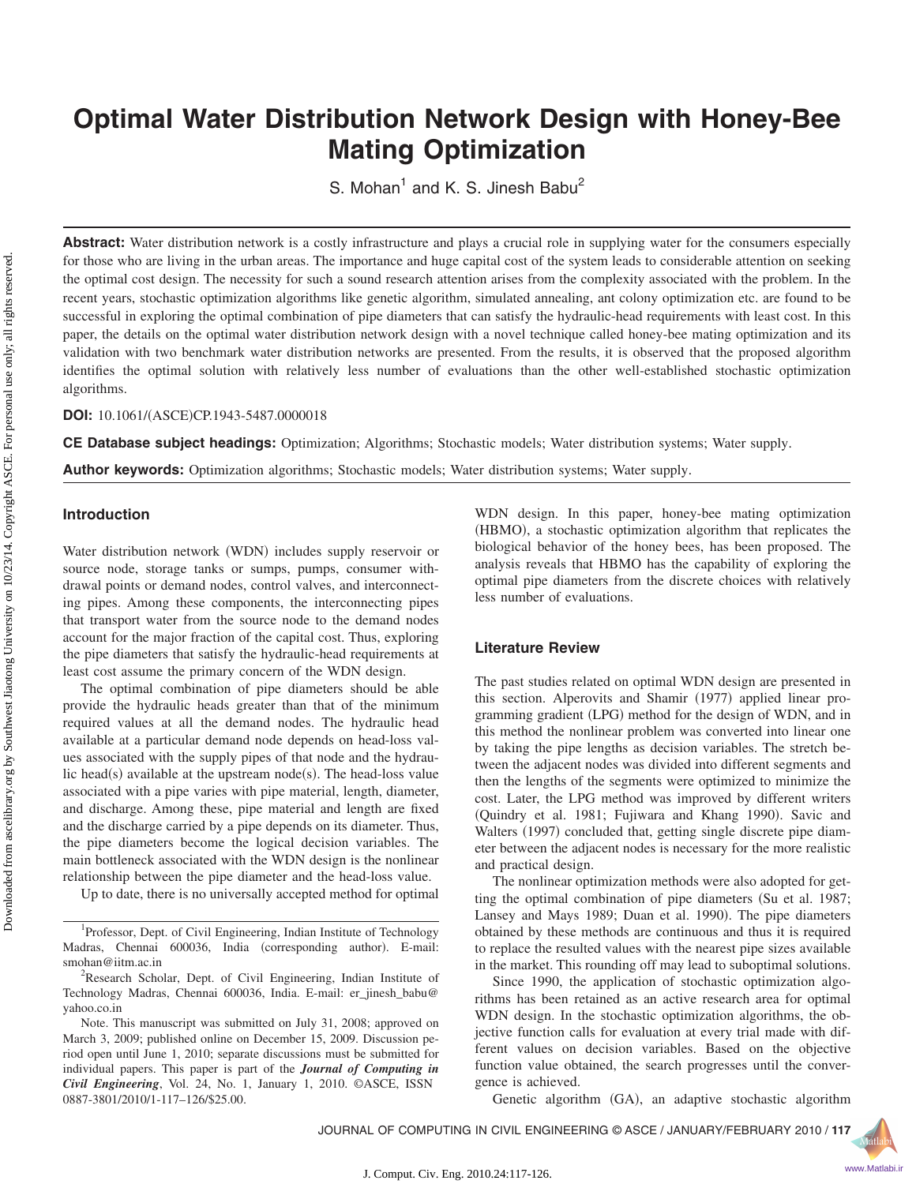# **Optimal Water Distribution Network Design with Honey-Bee Mating Optimization**

S. Mohan<sup>1</sup> and K. S. Jinesh Babu<sup>2</sup>

Abstract: Water distribution network is a costly infrastructure and plays a crucial role in supplying water for the consumers especially for those who are living in the urban areas. The importance and huge capital cost of the system leads to considerable attention on seeking the optimal cost design. The necessity for such a sound research attention arises from the complexity associated with the problem. In the recent years, stochastic optimization algorithms like genetic algorithm, simulated annealing, ant colony optimization etc. are found to be successful in exploring the optimal combination of pipe diameters that can satisfy the hydraulic-head requirements with least cost. In this paper, the details on the optimal water distribution network design with a novel technique called honey-bee mating optimization and its validation with two benchmark water distribution networks are presented. From the results, it is observed that the proposed algorithm identifies the optimal solution with relatively less number of evaluations than the other well-established stochastic optimization algorithms.

**DOI:** 10.1061/(ASCE)CP.1943-5487.0000018

**CE Database subject headings:** Optimization; Algorithms; Stochastic models; Water distribution systems; Water supply.

**Author keywords:** Optimization algorithms; Stochastic models; Water distribution systems; Water supply.

# **Introduction**

Water distribution network (WDN) includes supply reservoir or source node, storage tanks or sumps, pumps, consumer withdrawal points or demand nodes, control valves, and interconnecting pipes. Among these components, the interconnecting pipes that transport water from the source node to the demand nodes account for the major fraction of the capital cost. Thus, exploring the pipe diameters that satisfy the hydraulic-head requirements at least cost assume the primary concern of the WDN design.

The optimal combination of pipe diameters should be able provide the hydraulic heads greater than that of the minimum required values at all the demand nodes. The hydraulic head available at a particular demand node depends on head-loss values associated with the supply pipes of that node and the hydraulic head(s) available at the upstream  $node(s)$ . The head-loss value associated with a pipe varies with pipe material, length, diameter, and discharge. Among these, pipe material and length are fixed and the discharge carried by a pipe depends on its diameter. Thus, the pipe diameters become the logical decision variables. The main bottleneck associated with the WDN design is the nonlinear relationship between the pipe diameter and the head-loss value.

Up to date, there is no universally accepted method for optimal

<sup>1</sup>Professor, Dept. of Civil Engineering, Indian Institute of Technology Madras, Chennai 600036, India (corresponding author). E-mail: smohan@iitm.ac.in <sup>2</sup>

<sup>2</sup>Research Scholar, Dept. of Civil Engineering, Indian Institute of Technology Madras, Chennai 600036, India. E-mail: er\_jinesh\_babu@ yahoo.co.in

Note. This manuscript was submitted on July 31, 2008; approved on March 3, 2009; published online on December 15, 2009. Discussion period open until June 1, 2010; separate discussions must be submitted for individual papers. This paper is part of the *Journal of Computing in Civil Engineering*, Vol. 24, No. 1, January 1, 2010. ©ASCE, ISSN 0887-3801/2010/1-117–126/\$25.00.

WDN design. In this paper, honey-bee mating optimization (HBMO), a stochastic optimization algorithm that replicates the biological behavior of the honey bees, has been proposed. The analysis reveals that HBMO has the capability of exploring the optimal pipe diameters from the discrete choices with relatively less number of evaluations.

# **Literature Review**

The past studies related on optimal WDN design are presented in this section. Alperovits and Shamir (1977) applied linear programming gradient (LPG) method for the design of WDN, and in this method the nonlinear problem was converted into linear one by taking the pipe lengths as decision variables. The stretch between the adjacent nodes was divided into different segments and then the lengths of the segments were optimized to minimize the cost. Later, the LPG method was improved by different writers (Quindry et al. 1981; Fujiwara and Khang 1990). Savic and Walters (1997) concluded that, getting single discrete pipe diameter between the adjacent nodes is necessary for the more realistic and practical design.

The nonlinear optimization methods were also adopted for getting the optimal combination of pipe diameters (Su et al. 1987; Lansey and Mays 1989; Duan et al. 1990). The pipe diameters obtained by these methods are continuous and thus it is required to replace the resulted values with the nearest pipe sizes available in the market. This rounding off may lead to suboptimal solutions.

Since 1990, the application of stochastic optimization algorithms has been retained as an active research area for optimal WDN design. In the stochastic optimization algorithms, the objective function calls for evaluation at every trial made with different values on decision variables. Based on the objective function value obtained, the search progresses until the convergence is achieved.

Genetic algorithm (GA), an adaptive stochastic algorithm

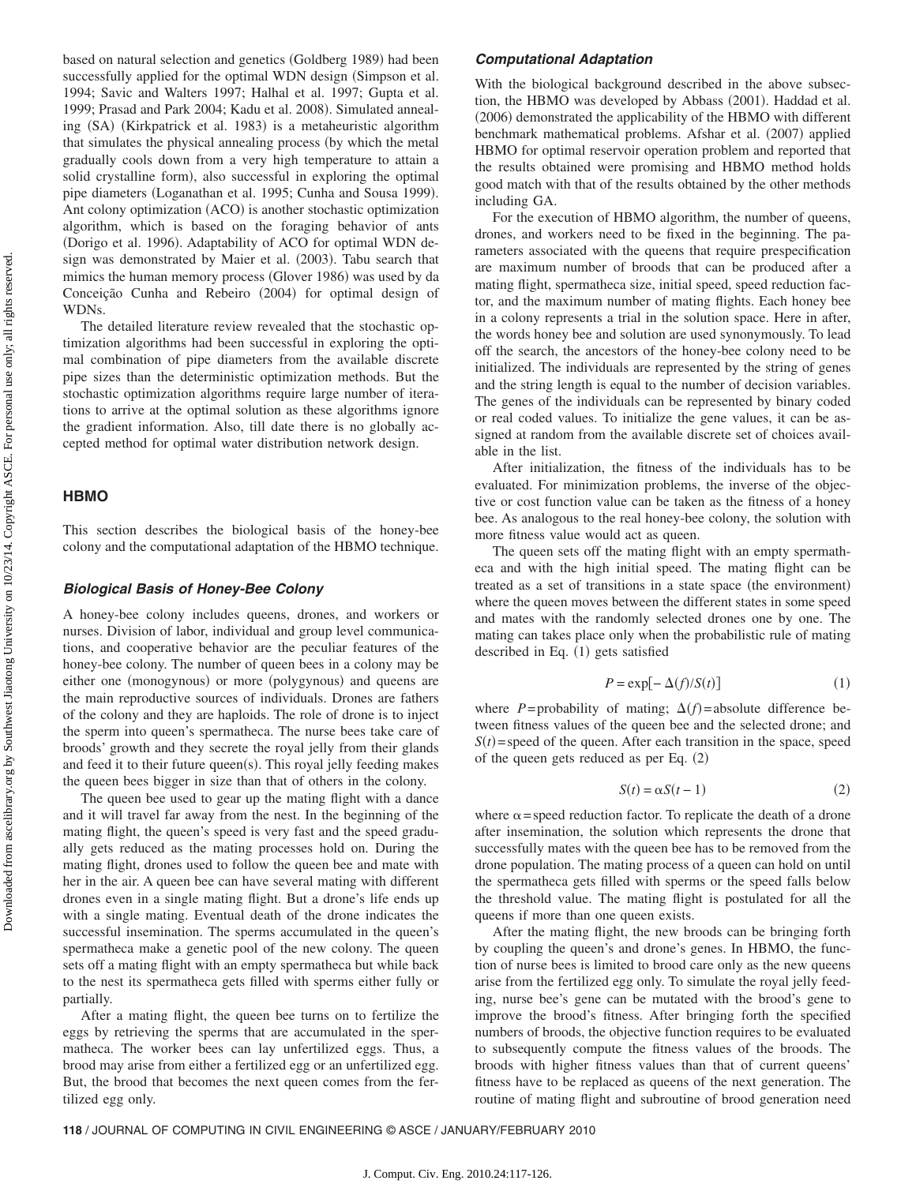based on natural selection and genetics (Goldberg 1989) had been successfully applied for the optimal WDN design (Simpson et al. 1994; Savic and Walters 1997; Halhal et al. 1997; Gupta et al. 1999; Prasad and Park 2004; Kadu et al. 2008). Simulated annealing (SA) (Kirkpatrick et al. 1983) is a metaheuristic algorithm that simulates the physical annealing process (by which the metal gradually cools down from a very high temperature to attain a solid crystalline form), also successful in exploring the optimal pipe diameters (Loganathan et al. 1995; Cunha and Sousa 1999). Ant colony optimization (ACO) is another stochastic optimization algorithm, which is based on the foraging behavior of ants (Dorigo et al. 1996). Adaptability of ACO for optimal WDN design was demonstrated by Maier et al. (2003). Tabu search that mimics the human memory process (Glover 1986) was used by da Conceição Cunha and Rebeiro (2004) for optimal design of WDNs.

The detailed literature review revealed that the stochastic optimization algorithms had been successful in exploring the optimal combination of pipe diameters from the available discrete pipe sizes than the deterministic optimization methods. But the stochastic optimization algorithms require large number of iterations to arrive at the optimal solution as these algorithms ignore the gradient information. Also, till date there is no globally accepted method for optimal water distribution network design.

### **HBMO**

This section describes the biological basis of the honey-bee colony and the computational adaptation of the HBMO technique.

#### *Biological Basis of Honey-Bee Colony*

A honey-bee colony includes queens, drones, and workers or nurses. Division of labor, individual and group level communications, and cooperative behavior are the peculiar features of the honey-bee colony. The number of queen bees in a colony may be either one (monogynous) or more (polygynous) and queens are the main reproductive sources of individuals. Drones are fathers of the colony and they are haploids. The role of drone is to inject the sperm into queen's spermatheca. The nurse bees take care of broods' growth and they secrete the royal jelly from their glands and feed it to their future queen(s). This royal jelly feeding makes the queen bees bigger in size than that of others in the colony.

The queen bee used to gear up the mating flight with a dance and it will travel far away from the nest. In the beginning of the mating flight, the queen's speed is very fast and the speed gradually gets reduced as the mating processes hold on. During the mating flight, drones used to follow the queen bee and mate with her in the air. A queen bee can have several mating with different drones even in a single mating flight. But a drone's life ends up with a single mating. Eventual death of the drone indicates the successful insemination. The sperms accumulated in the queen's spermatheca make a genetic pool of the new colony. The queen sets off a mating flight with an empty spermatheca but while back to the nest its spermatheca gets filled with sperms either fully or partially.

After a mating flight, the queen bee turns on to fertilize the eggs by retrieving the sperms that are accumulated in the spermatheca. The worker bees can lay unfertilized eggs. Thus, a brood may arise from either a fertilized egg or an unfertilized egg. But, the brood that becomes the next queen comes from the fertilized egg only.

#### *Computational Adaptation*

With the biological background described in the above subsection, the HBMO was developed by Abbass (2001). Haddad et al. (2006) demonstrated the applicability of the HBMO with different benchmark mathematical problems. Afshar et al. (2007) applied HBMO for optimal reservoir operation problem and reported that the results obtained were promising and HBMO method holds good match with that of the results obtained by the other methods including GA.

For the execution of HBMO algorithm, the number of queens, drones, and workers need to be fixed in the beginning. The parameters associated with the queens that require prespecification are maximum number of broods that can be produced after a mating flight, spermatheca size, initial speed, speed reduction factor, and the maximum number of mating flights. Each honey bee in a colony represents a trial in the solution space. Here in after, the words honey bee and solution are used synonymously. To lead off the search, the ancestors of the honey-bee colony need to be initialized. The individuals are represented by the string of genes and the string length is equal to the number of decision variables. The genes of the individuals can be represented by binary coded or real coded values. To initialize the gene values, it can be assigned at random from the available discrete set of choices available in the list.

After initialization, the fitness of the individuals has to be evaluated. For minimization problems, the inverse of the objective or cost function value can be taken as the fitness of a honey bee. As analogous to the real honey-bee colony, the solution with more fitness value would act as queen.

The queen sets off the mating flight with an empty spermatheca and with the high initial speed. The mating flight can be treated as a set of transitions in a state space (the environment) where the queen moves between the different states in some speed and mates with the randomly selected drones one by one. The mating can takes place only when the probabilistic rule of mating described in Eq. (1) gets satisfied

$$
P = \exp[-\Delta(f)/S(t)] \tag{1}
$$

where *P*=probability of mating;  $\Delta(f)$ =absolute difference between fitness values of the queen bee and the selected drone; and  $S(t)$  = speed of the queen. After each transition in the space, speed of the queen gets reduced as per Eq.  $(2)$ 

$$
S(t) = \alpha S(t - 1)
$$
 (2)

where  $\alpha$  = speed reduction factor. To replicate the death of a drone after insemination, the solution which represents the drone that successfully mates with the queen bee has to be removed from the drone population. The mating process of a queen can hold on until the spermatheca gets filled with sperms or the speed falls below the threshold value. The mating flight is postulated for all the queens if more than one queen exists.

After the mating flight, the new broods can be bringing forth by coupling the queen's and drone's genes. In HBMO, the function of nurse bees is limited to brood care only as the new queens arise from the fertilized egg only. To simulate the royal jelly feeding, nurse bee's gene can be mutated with the brood's gene to improve the brood's fitness. After bringing forth the specified numbers of broods, the objective function requires to be evaluated to subsequently compute the fitness values of the broods. The broods with higher fitness values than that of current queens' fitness have to be replaced as queens of the next generation. The routine of mating flight and subroutine of brood generation need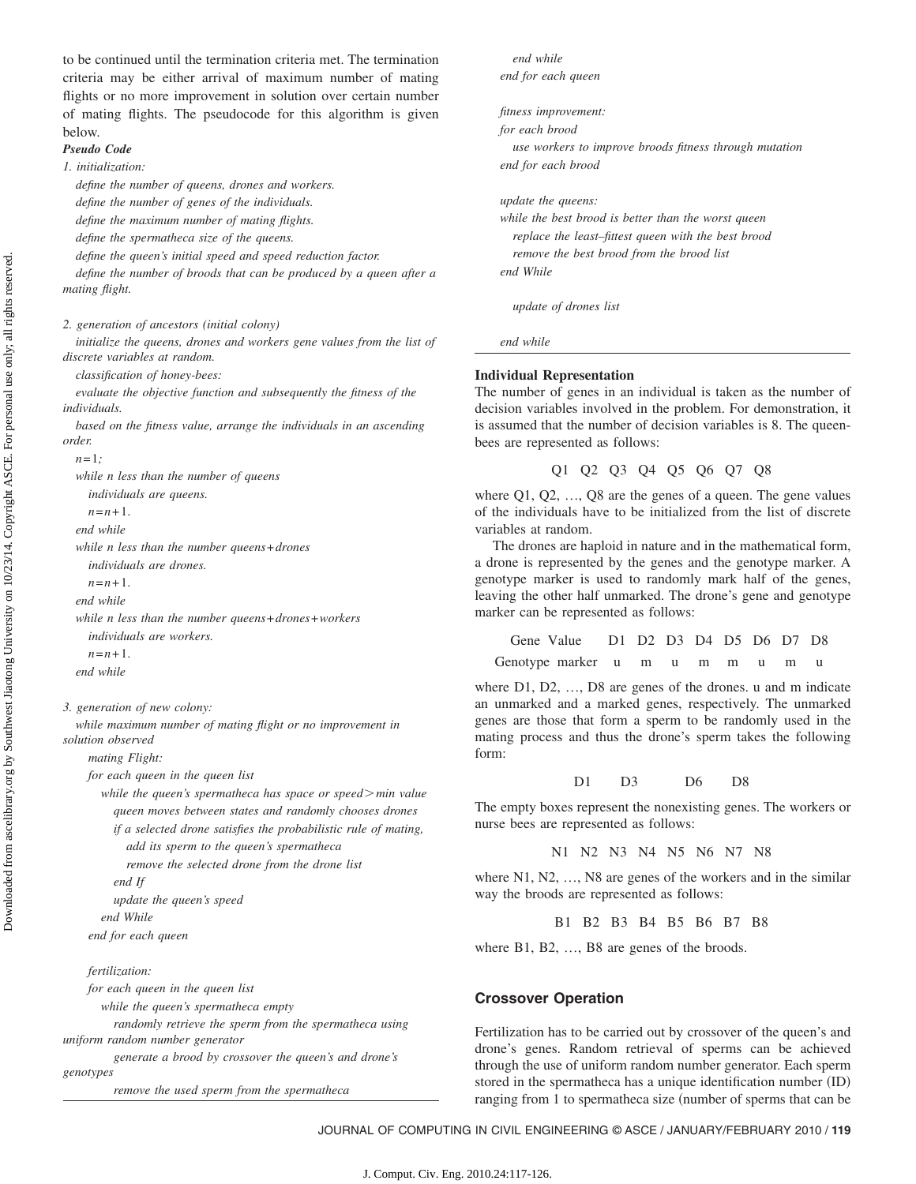to be continued until the termination criteria met. The termination criteria may be either arrival of maximum number of mating flights or no more improvement in solution over certain number of mating flights. The pseudocode for this algorithm is given below.

# *Pseudo Code*

## *1. initialization:*

*define the number of queens, drones and workers.*

*define the number of genes of the individuals.*

*define the maximum number of mating flights.*

*define the spermatheca size of the queens.*

*define the queen's initial speed and speed reduction factor.*

*define the number of broods that can be produced by a queen after a mating flight.*

*2. generation of ancestors (initial colony)*

*initialize the queens, drones and workers gene values from the list of discrete variables at random.*

*classification of honey-bees:*

*evaluate the objective function and subsequently the fitness of the individuals.*

*based on the fitness value, arrange the individuals in an ascending order.*

```
n= 1;
```
*while n less than the number of queens individuals are queens.*

 $n=n+1$ .

*end while*

*while n less than the number queens*+*drones*

*individuals are drones.*

*n*=*n*+1.

*end while*

*while n less than the number queens*+*drones*+*workers individuals are workers.*  $n = n + 1$ .

*end while*

*3. generation of new colony:*

*while maximum number of mating flight or no improvement in solution observed*

*mating Flight:*

*for each queen in the queen list*

*while the queen's spermatheca has space or speed* $>$ *min value queen moves between states and randomly chooses drones if a selected drone satisfies the probabilistic rule of mating, add its sperm to the queen's spermatheca*

*remove the selected drone from the drone list*

*end If*

*update the queen's speed*

*end While*

*end for each queen*

#### *fertilization:*

*for each queen in the queen list while the queen's spermatheca empty randomly retrieve the sperm from the spermatheca using uniform random number generator generate a brood by crossover the queen's and drone's genotypes remove the used sperm from the spermatheca*

*end while end for each queen*

*fitness improvement:*

*for each brood*

*use workers to improve broods fitness through mutation end for each brood*

*update the queens:*

*while the best brood is better than the worst queen replace the least–fittest queen with the best brood remove the best brood from the brood list end While*

*update of drones list*

*end while*

#### **Individual Representation**

The number of genes in an individual is taken as the number of decision variables involved in the problem. For demonstration, it is assumed that the number of decision variables is 8. The queenbees are represented as follows:

```
Q1 Q2 Q3 Q4 Q5 Q6 Q7 Q8
```
where Q1, Q2, ..., Q8 are the genes of a queen. The gene values of the individuals have to be initialized from the list of discrete variables at random.

The drones are haploid in nature and in the mathematical form, a drone is represented by the genes and the genotype marker. A genotype marker is used to randomly mark half of the genes, leaving the other half unmarked. The drone's gene and genotype marker can be represented as follows:

```
Gene Value D1 D2 D3 D4 D5 D6 D7 D8
Genotype marker u m u m m u m u
```
where D1, D2, ..., D8 are genes of the drones. u and m indicate an unmarked and a marked genes, respectively. The unmarked genes are those that form a sperm to be randomly used in the mating process and thus the drone's sperm takes the following form:

D1 D3 D6 D8

The empty boxes represent the nonexisting genes. The workers or nurse bees are represented as follows:

N1 N2 N3 N4 N5 N6 N7 N8

where N1, N2, ..., N8 are genes of the workers and in the similar way the broods are represented as follows:

B1 B2 B3 B4 B5 B6 B7 B8

where B1, B2, ..., B8 are genes of the broods.

#### **Crossover Operation**

Fertilization has to be carried out by crossover of the queen's and drone's genes. Random retrieval of sperms can be achieved through the use of uniform random number generator. Each sperm stored in the spermatheca has a unique identification number (ID) ranging from 1 to spermatheca size (number of sperms that can be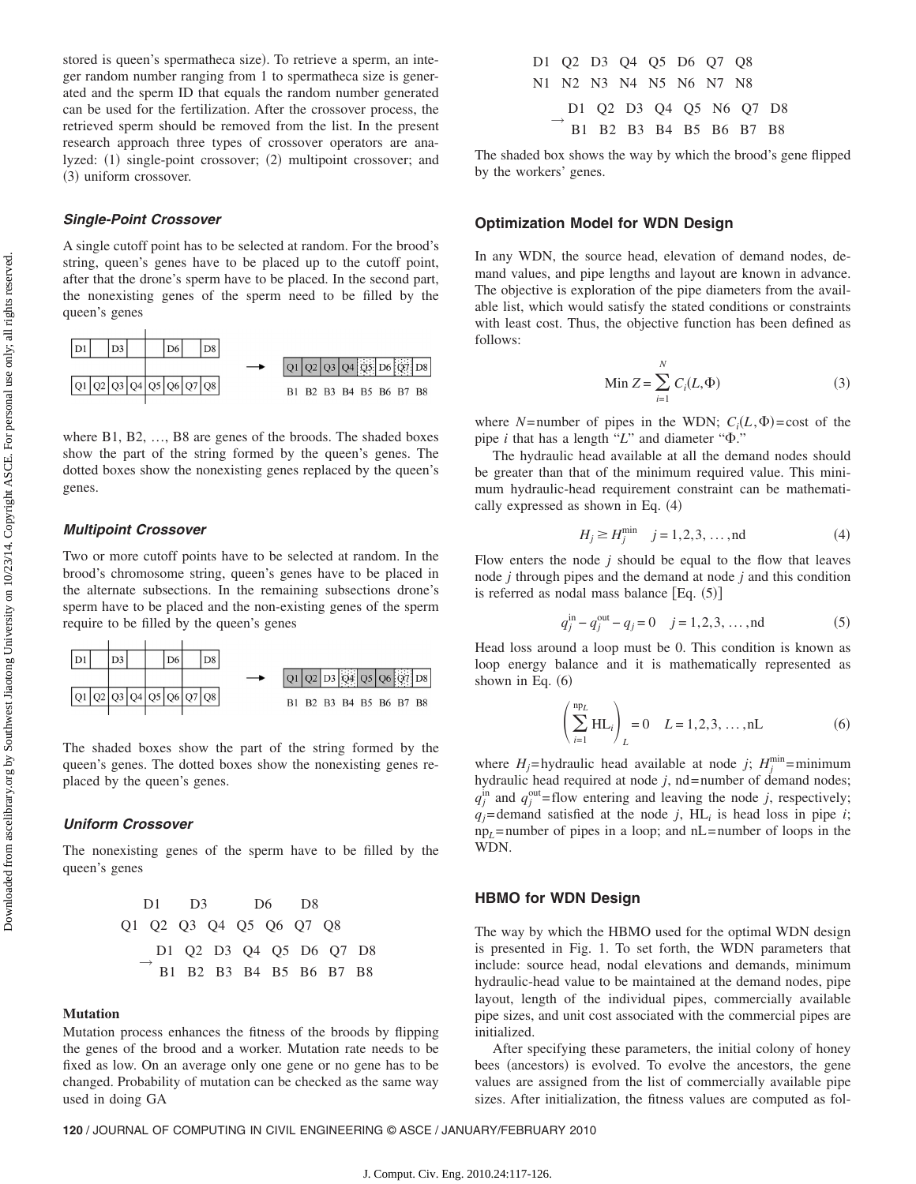stored is queen's spermatheca size). To retrieve a sperm, an integer random number ranging from 1 to spermatheca size is generated and the sperm ID that equals the random number generated can be used for the fertilization. After the crossover process, the retrieved sperm should be removed from the list. In the present research approach three types of crossover operators are analyzed: (1) single-point crossover; (2) multipoint crossover; and (3) uniform crossover.

# *Single-Point Crossover*

A single cutoff point has to be selected at random. For the brood's string, queen's genes have to be placed up to the cutoff point, after that the drone's sperm have to be placed. In the second part, the nonexisting genes of the sperm need to be filled by the queen's genes



where B1, B2, …, B8 are genes of the broods. The shaded boxes show the part of the string formed by the queen's genes. The dotted boxes show the nonexisting genes replaced by the queen's genes.

## *Multipoint Crossover*

Two or more cutoff points have to be selected at random. In the brood's chromosome string, queen's genes have to be placed in the alternate subsections. In the remaining subsections drone's sperm have to be placed and the non-existing genes of the sperm require to be filled by the queen's genes



The shaded boxes show the part of the string formed by the queen's genes. The dotted boxes show the nonexisting genes replaced by the queen's genes.

#### *Uniform Crossover*

The nonexisting genes of the sperm have to be filled by the queen's genes



#### **Mutation**

Mutation process enhances the fitness of the broods by flipping the genes of the brood and a worker. Mutation rate needs to be fixed as low. On an average only one gene or no gene has to be changed. Probability of mutation can be checked as the same way used in doing GA

|  | D1 Q2 D3 Q4 Q5 D6 Q7 Q8 |  |  |                         |  |
|--|-------------------------|--|--|-------------------------|--|
|  | N1 N2 N3 N4 N5 N6 N7 N8 |  |  |                         |  |
|  |                         |  |  | D1 02 D3 04 05 N6 07 D8 |  |
|  |                         |  |  | B1 B2 B3 B4 B5 B6 B7 B8 |  |

The shaded box shows the way by which the brood's gene flipped by the workers' genes.

### **Optimization Model for WDN Design**

In any WDN, the source head, elevation of demand nodes, demand values, and pipe lengths and layout are known in advance. The objective is exploration of the pipe diameters from the available list, which would satisfy the stated conditions or constraints with least cost. Thus, the objective function has been defined as follows:

$$
\text{Min } Z = \sum_{i=1}^{N} C_i(L, \Phi) \tag{3}
$$

where *N*=number of pipes in the WDN;  $C_i(L, \Phi) = \text{cost of the}$ pipe  $i$  that has a length " $L$ " and diameter " $\Phi$ ."

The hydraulic head available at all the demand nodes should be greater than that of the minimum required value. This minimum hydraulic-head requirement constraint can be mathematically expressed as shown in Eq. (4)

$$
H_j \ge H_j^{\min} \quad j = 1, 2, 3, \dots, \text{nd} \tag{4}
$$

Flow enters the node *j* should be equal to the flow that leaves node *j* through pipes and the demand at node *j* and this condition is referred as nodal mass balance  $[Eq. (5)]$ 

$$
q_j^{\text{in}} - q_j^{\text{out}} - q_j = 0 \quad j = 1, 2, 3, ..., \text{nd}
$$
 (5)

Head loss around a loop must be 0. This condition is known as loop energy balance and it is mathematically represented as shown in Eq.  $(6)$ 

$$
\left(\sum_{i=1}^{np_L} HL_i\right)_L = 0 \quad L = 1, 2, 3, \dots, nL
$$
 (6)

where  $H_j$ =hydraulic head available at node *j*;  $H_j^{\min}$ =minimum hydraulic head required at node  $j$ , nd = number of demand nodes;  $q_j^{\text{in}}$  and  $q_j^{\text{out}}$ = flow entering and leaving the node *j*, respectively;  $q_i$ = demand satisfied at the node *j*, HL<sub>i</sub> is head loss in pipe *i*; np*L*= number of pipes in a loop; and nL= number of loops in the WDN.

# **HBMO for WDN Design**

The way by which the HBMO used for the optimal WDN design is presented in Fig. 1. To set forth, the WDN parameters that include: source head, nodal elevations and demands, minimum hydraulic-head value to be maintained at the demand nodes, pipe layout, length of the individual pipes, commercially available pipe sizes, and unit cost associated with the commercial pipes are initialized.

After specifying these parameters, the initial colony of honey bees (ancestors) is evolved. To evolve the ancestors, the gene values are assigned from the list of commercially available pipe sizes. After initialization, the fitness values are computed as fol-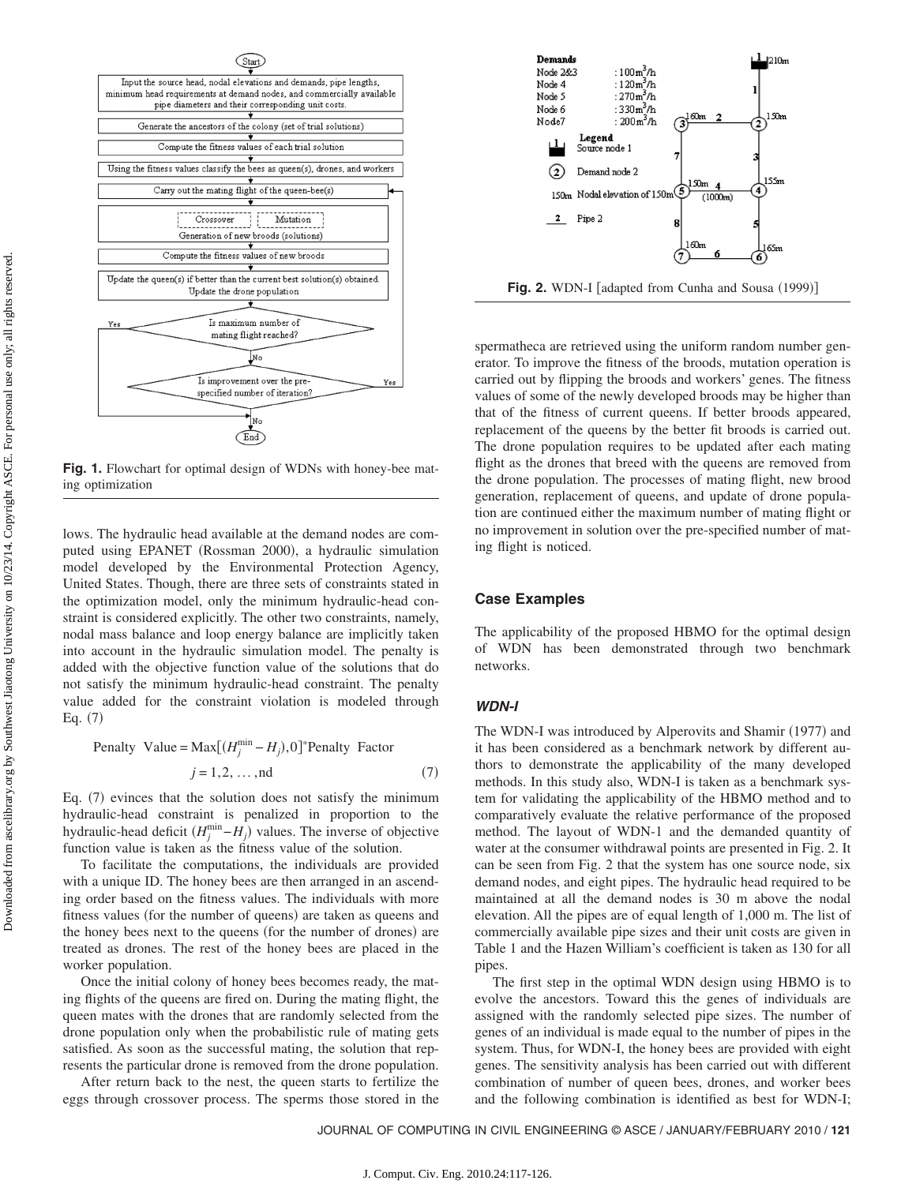

**Fig. 1.** Flowchart for optimal design of WDNs with honey-bee mating optimization

lows. The hydraulic head available at the demand nodes are computed using EPANET (Rossman 2000), a hydraulic simulation model developed by the Environmental Protection Agency, United States. Though, there are three sets of constraints stated in the optimization model, only the minimum hydraulic-head constraint is considered explicitly. The other two constraints, namely, nodal mass balance and loop energy balance are implicitly taken into account in the hydraulic simulation model. The penalty is added with the objective function value of the solutions that do not satisfy the minimum hydraulic-head constraint. The penalty value added for the constraint violation is modeled through Eq.  $(7)$ 

Penalty Value = Max
$$
[(H_j^{\min} - H_j), 0]^*
$$
Penalty Factor  
 $j = 1, 2, ..., nd$  (7)

Eq. (7) evinces that the solution does not satisfy the minimum hydraulic-head constraint is penalized in proportion to the hydraulic-head deficit  $(H_j^{\min} - H_j)$  values. The inverse of objective function value is taken as the fitness value of the solution.

To facilitate the computations, the individuals are provided with a unique ID. The honey bees are then arranged in an ascending order based on the fitness values. The individuals with more fitness values (for the number of queens) are taken as queens and the honey bees next to the queens (for the number of drones) are treated as drones. The rest of the honey bees are placed in the worker population.

Once the initial colony of honey bees becomes ready, the mating flights of the queens are fired on. During the mating flight, the queen mates with the drones that are randomly selected from the drone population only when the probabilistic rule of mating gets satisfied. As soon as the successful mating, the solution that represents the particular drone is removed from the drone population.

After return back to the nest, the queen starts to fertilize the eggs through crossover process. The sperms those stored in the



**Fig. 2.** WDN-I [adapted from Cunha and Sousa (1999)]

spermatheca are retrieved using the uniform random number generator. To improve the fitness of the broods, mutation operation is carried out by flipping the broods and workers' genes. The fitness values of some of the newly developed broods may be higher than that of the fitness of current queens. If better broods appeared, replacement of the queens by the better fit broods is carried out. The drone population requires to be updated after each mating flight as the drones that breed with the queens are removed from the drone population. The processes of mating flight, new brood generation, replacement of queens, and update of drone population are continued either the maximum number of mating flight or no improvement in solution over the pre-specified number of mating flight is noticed.

# **Case Examples**

The applicability of the proposed HBMO for the optimal design of WDN has been demonstrated through two benchmark networks.

## *WDN-I*

The WDN-I was introduced by Alperovits and Shamir (1977) and it has been considered as a benchmark network by different authors to demonstrate the applicability of the many developed methods. In this study also, WDN-I is taken as a benchmark system for validating the applicability of the HBMO method and to comparatively evaluate the relative performance of the proposed method. The layout of WDN-1 and the demanded quantity of water at the consumer withdrawal points are presented in Fig. 2. It can be seen from Fig. 2 that the system has one source node, six demand nodes, and eight pipes. The hydraulic head required to be maintained at all the demand nodes is 30 m above the nodal elevation. All the pipes are of equal length of 1,000 m. The list of commercially available pipe sizes and their unit costs are given in Table 1 and the Hazen William's coefficient is taken as 130 for all pipes.

The first step in the optimal WDN design using HBMO is to evolve the ancestors. Toward this the genes of individuals are assigned with the randomly selected pipe sizes. The number of genes of an individual is made equal to the number of pipes in the system. Thus, for WDN-I, the honey bees are provided with eight genes. The sensitivity analysis has been carried out with different combination of number of queen bees, drones, and worker bees and the following combination is identified as best for WDN-I;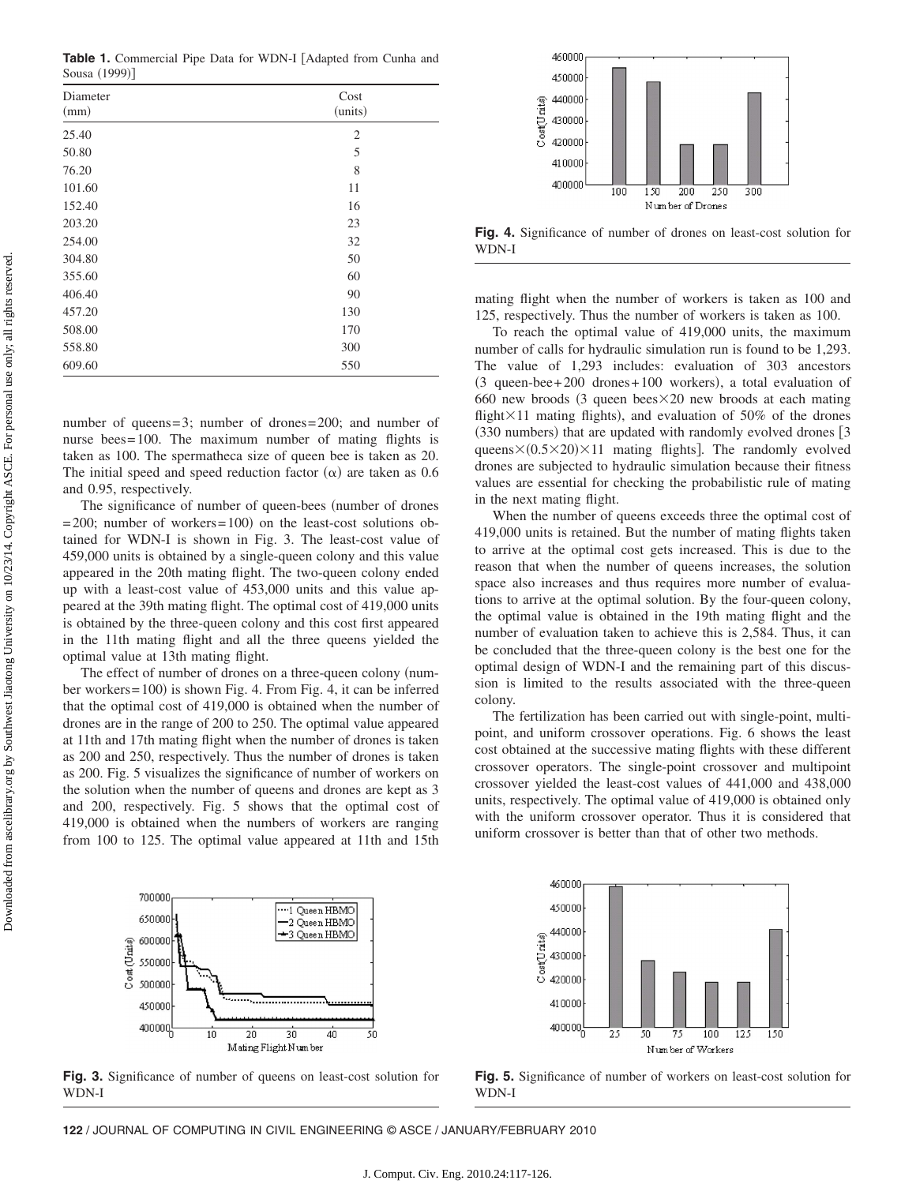Table 1. Commercial Pipe Data for WDN-I [Adapted from Cunha and Sousa (1999)]

| Diameter<br>(mm) | Cost<br>(units) |
|------------------|-----------------|
| 25.40            | $\mathfrak{2}$  |
| 50.80            | 5               |
| 76.20            | 8               |
| 101.60           | 11              |
| 152.40           | 16              |
| 203.20           | 23              |
| 254.00           | 32              |
| 304.80           | 50              |
| 355.60           | 60              |
| 406.40           | 90              |
| 457.20           | 130             |
| 508.00           | 170             |
| 558.80           | 300             |
| 609.60           | 550             |

number of queens=3; number of drones=200; and number of nurse bees=100. The maximum number of mating flights is taken as 100. The spermatheca size of queen bee is taken as 20. The initial speed and speed reduction factor  $(\alpha)$  are taken as 0.6 and 0.95, respectively.

The significance of number of queen-bees (number of drones  $= 200$ ; number of workers $= 100$  on the least-cost solutions obtained for WDN-I is shown in Fig. 3. The least-cost value of 459,000 units is obtained by a single-queen colony and this value appeared in the 20th mating flight. The two-queen colony ended up with a least-cost value of 453,000 units and this value appeared at the 39th mating flight. The optimal cost of 419,000 units is obtained by the three-queen colony and this cost first appeared in the 11th mating flight and all the three queens yielded the optimal value at 13th mating flight.

The effect of number of drones on a three-queen colony (number workers=100) is shown Fig. 4. From Fig. 4, it can be inferred that the optimal cost of 419,000 is obtained when the number of drones are in the range of 200 to 250. The optimal value appeared at 11th and 17th mating flight when the number of drones is taken as 200 and 250, respectively. Thus the number of drones is taken as 200. Fig. 5 visualizes the significance of number of workers on the solution when the number of queens and drones are kept as 3 and 200, respectively. Fig. 5 shows that the optimal cost of 419,000 is obtained when the numbers of workers are ranging from 100 to 125. The optimal value appeared at 11th and 15th



**Fig. 4.** Significance of number of drones on least-cost solution for WDN-I

mating flight when the number of workers is taken as 100 and 125, respectively. Thus the number of workers is taken as 100.

To reach the optimal value of 419,000 units, the maximum number of calls for hydraulic simulation run is found to be 1,293. The value of 1,293 includes: evaluation of 303 ancestors (3 queen-bee+200 drones+100 workers), a total evaluation of 660 new broods (3 queen bees $\times$ 20 new broods at each mating flight $\times$ 11 mating flights), and evaluation of 50% of the drones (330 numbers) that are updated with randomly evolved drones [3 queens $\times$ (0.5 $\times$ 20) $\times$ 11 mating flights]. The randomly evolved drones are subjected to hydraulic simulation because their fitness values are essential for checking the probabilistic rule of mating in the next mating flight.

When the number of queens exceeds three the optimal cost of 419,000 units is retained. But the number of mating flights taken to arrive at the optimal cost gets increased. This is due to the reason that when the number of queens increases, the solution space also increases and thus requires more number of evaluations to arrive at the optimal solution. By the four-queen colony, the optimal value is obtained in the 19th mating flight and the number of evaluation taken to achieve this is 2,584. Thus, it can be concluded that the three-queen colony is the best one for the optimal design of WDN-I and the remaining part of this discussion is limited to the results associated with the three-queen colony.

The fertilization has been carried out with single-point, multipoint, and uniform crossover operations. Fig. 6 shows the least cost obtained at the successive mating flights with these different crossover operators. The single-point crossover and multipoint crossover yielded the least-cost values of 441,000 and 438,000 units, respectively. The optimal value of 419,000 is obtained only with the uniform crossover operator. Thus it is considered that uniform crossover is better than that of other two methods.



**Fig. 3.** Significance of number of queens on least-cost solution for WDN-I



**Fig. 5.** Significance of number of workers on least-cost solution for WDN-I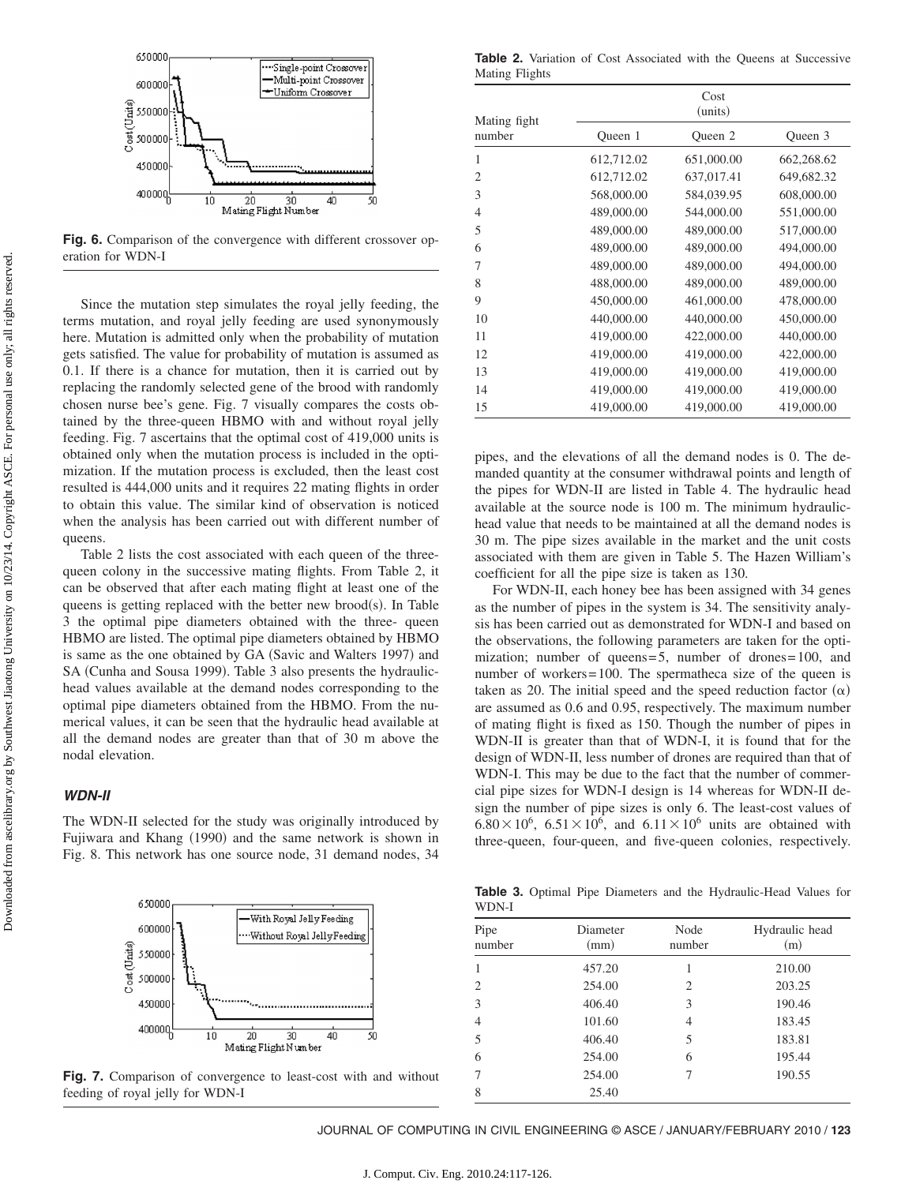

**Fig. 6.** Comparison of the convergence with different crossover operation for WDN-I

Since the mutation step simulates the royal jelly feeding, the terms mutation, and royal jelly feeding are used synonymously here. Mutation is admitted only when the probability of mutation gets satisfied. The value for probability of mutation is assumed as 0.1. If there is a chance for mutation, then it is carried out by replacing the randomly selected gene of the brood with randomly chosen nurse bee's gene. Fig. 7 visually compares the costs obtained by the three-queen HBMO with and without royal jelly feeding. Fig. 7 ascertains that the optimal cost of 419,000 units is obtained only when the mutation process is included in the optimization. If the mutation process is excluded, then the least cost resulted is 444,000 units and it requires 22 mating flights in order to obtain this value. The similar kind of observation is noticed when the analysis has been carried out with different number of queens.

Table 2 lists the cost associated with each queen of the threequeen colony in the successive mating flights. From Table 2, it can be observed that after each mating flight at least one of the queens is getting replaced with the better new brood(s). In Table 3 the optimal pipe diameters obtained with the three- queen HBMO are listed. The optimal pipe diameters obtained by HBMO is same as the one obtained by GA (Savic and Walters 1997) and SA (Cunha and Sousa 1999). Table 3 also presents the hydraulichead values available at the demand nodes corresponding to the optimal pipe diameters obtained from the HBMO. From the numerical values, it can be seen that the hydraulic head available at all the demand nodes are greater than that of 30 m above the nodal elevation.

#### *WDN-II*

The WDN-II selected for the study was originally introduced by Fujiwara and Khang (1990) and the same network is shown in Fig. 8. This network has one source node, 31 demand nodes, 34



**Fig. 7.** Comparison of convergence to least-cost with and without feeding of royal jelly for WDN-I

Table 2. Variation of Cost Associated with the Queens at Successive Mating Flights

| Mating fight   | Cost<br>(units) |            |            |  |  |  |
|----------------|-----------------|------------|------------|--|--|--|
| number         | Oueen 1         | Queen 2    | Oueen 3    |  |  |  |
| 1              | 612,712.02      | 651,000.00 | 662,268.62 |  |  |  |
| $\overline{2}$ | 612,712.02      | 637,017.41 | 649,682.32 |  |  |  |
| 3              | 568,000.00      | 584,039.95 | 608,000.00 |  |  |  |
| $\overline{4}$ | 489,000.00      | 544,000.00 | 551,000.00 |  |  |  |
| 5              | 489,000.00      | 489,000.00 | 517,000.00 |  |  |  |
| 6              | 489,000.00      | 489,000.00 | 494,000.00 |  |  |  |
| 7              | 489,000.00      | 489,000.00 | 494,000.00 |  |  |  |
| 8              | 488,000.00      | 489,000.00 | 489,000.00 |  |  |  |
| 9              | 450,000.00      | 461,000.00 | 478,000.00 |  |  |  |
| 10             | 440,000.00      | 440,000.00 | 450,000.00 |  |  |  |
| 11             | 419,000.00      | 422,000.00 | 440,000.00 |  |  |  |
| 12             | 419,000.00      | 419,000.00 | 422,000.00 |  |  |  |
| 13             | 419,000.00      | 419,000.00 | 419,000.00 |  |  |  |
| 14             | 419,000.00      | 419,000.00 | 419,000.00 |  |  |  |
| 15             | 419,000.00      | 419,000.00 | 419,000.00 |  |  |  |

pipes, and the elevations of all the demand nodes is 0. The demanded quantity at the consumer withdrawal points and length of the pipes for WDN-II are listed in Table 4. The hydraulic head available at the source node is 100 m. The minimum hydraulichead value that needs to be maintained at all the demand nodes is 30 m. The pipe sizes available in the market and the unit costs associated with them are given in Table 5. The Hazen William's coefficient for all the pipe size is taken as 130.

For WDN-II, each honey bee has been assigned with 34 genes as the number of pipes in the system is 34. The sensitivity analysis has been carried out as demonstrated for WDN-I and based on the observations, the following parameters are taken for the optimization; number of queens=5, number of drones=100, and number of workers=100. The spermatheca size of the queen is taken as 20. The initial speed and the speed reduction factor  $(\alpha)$ are assumed as 0.6 and 0.95, respectively. The maximum number of mating flight is fixed as 150. Though the number of pipes in WDN-II is greater than that of WDN-I, it is found that for the design of WDN-II, less number of drones are required than that of WDN-I. This may be due to the fact that the number of commercial pipe sizes for WDN-I design is 14 whereas for WDN-II design the number of pipe sizes is only 6. The least-cost values of  $6.80 \times 10^6$ ,  $6.51 \times 10^6$ , and  $6.11 \times 10^6$  units are obtained with three-queen, four-queen, and five-queen colonies, respectively.

**Table 3.** Optimal Pipe Diameters and the Hydraulic-Head Values for WDN-I

| Pipe<br>number              | Diameter<br>(mm) | Node<br>number | Hydraulic head<br>(m) |
|-----------------------------|------------------|----------------|-----------------------|
|                             | 457.20           | 1              | 210.00                |
| $\mathcal{D}_{\mathcal{L}}$ | 254.00           | 2              | 203.25                |
| 3                           | 406.40           | 3              | 190.46                |
| $\overline{4}$              | 101.60           | 4              | 183.45                |
| 5                           | 406.40           | 5              | 183.81                |
| 6                           | 254.00           | 6              | 195.44                |
|                             | 254.00           | 7              | 190.55                |
| 8                           | 25.40            |                |                       |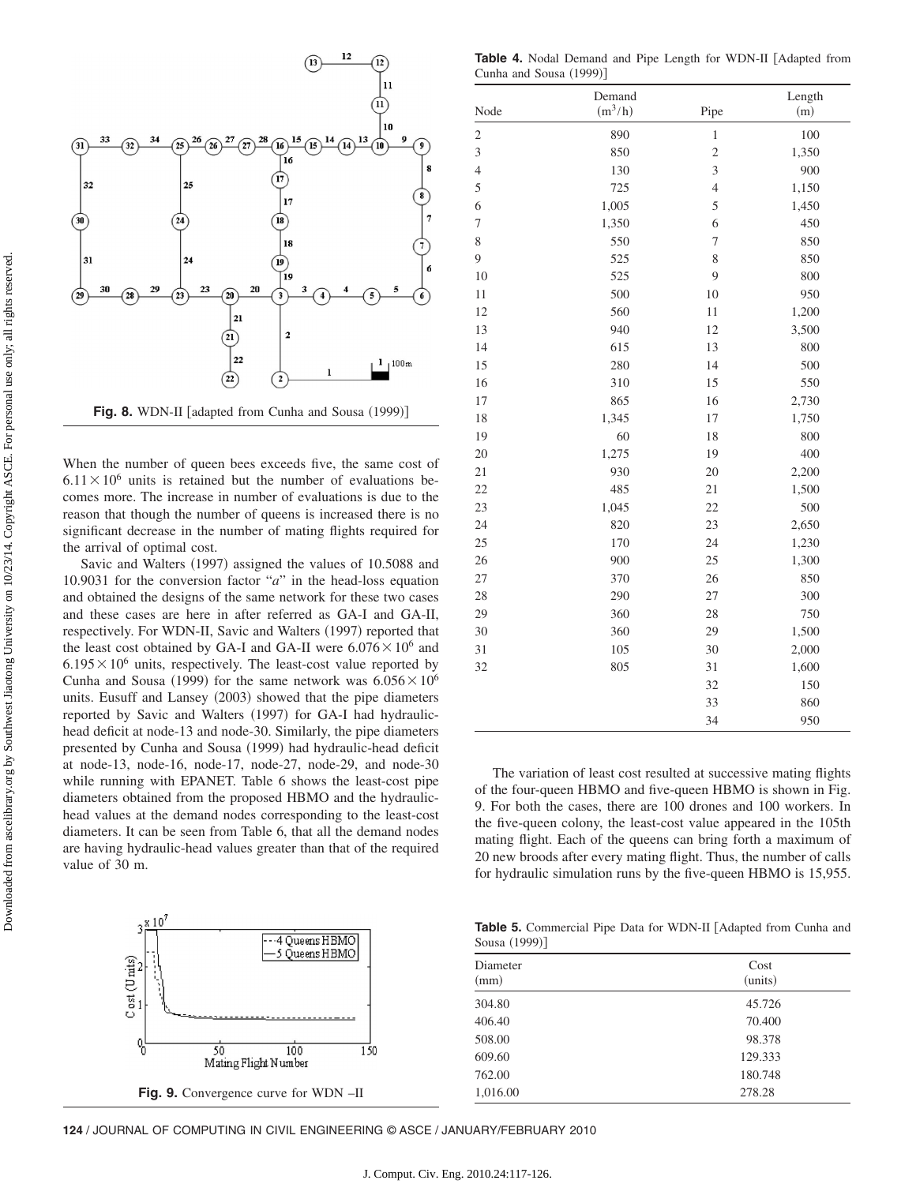

When the number of queen bees exceeds five, the same cost of  $6.11 \times 10^6$  units is retained but the number of evaluations becomes more. The increase in number of evaluations is due to the reason that though the number of queens is increased there is no significant decrease in the number of mating flights required for the arrival of optimal cost.

Savic and Walters (1997) assigned the values of 10.5088 and 10.9031 for the conversion factor "*a*" in the head-loss equation and obtained the designs of the same network for these two cases and these cases are here in after referred as GA-I and GA-II, respectively. For WDN-II, Savic and Walters (1997) reported that the least cost obtained by GA-I and GA-II were  $6.076 \times 10^6$  and  $6.195\times10^6$  units, respectively. The least-cost value reported by Cunha and Sousa (1999) for the same network was  $6.056 \times 10^6$ units. Eusuff and Lansey (2003) showed that the pipe diameters reported by Savic and Walters (1997) for GA-I had hydraulichead deficit at node-13 and node-30. Similarly, the pipe diameters presented by Cunha and Sousa (1999) had hydraulic-head deficit at node-13, node-16, node-17, node-27, node-29, and node-30 while running with EPANET. Table 6 shows the least-cost pipe diameters obtained from the proposed HBMO and the hydraulichead values at the demand nodes corresponding to the least-cost diameters. It can be seen from Table 6, that all the demand nodes are having hydraulic-head values greater than that of the required value of 30 m.



Table 4. Nodal Demand and Pipe Length for WDN-II [Adapted from Cunha and Sousa (1999)]

|                | Demand    |                         | Length |
|----------------|-----------|-------------------------|--------|
| Node           | $(m^3/h)$ | Pipe                    | (m)    |
| $\overline{c}$ | 890       | $\mathbf{1}$            | 100    |
| 3              | 850       | $\overline{c}$          | 1,350  |
| $\overline{4}$ | 130       | $\overline{\mathbf{3}}$ | 900    |
| 5              | 725       | $\overline{4}$          | 1,150  |
| 6              | 1,005     | 5                       | 1,450  |
| $\overline{7}$ | 1,350     | 6                       | 450    |
| 8              | 550       | 7                       | 850    |
| 9              | 525       | 8                       | 850    |
| 10             | 525       | 9                       | 800    |
| 11             | 500       | 10                      | 950    |
| 12             | 560       | 11                      | 1,200  |
| 13             | 940       | 12                      | 3,500  |
| 14             | 615       | 13                      | 800    |
| 15             | 280       | 14                      | 500    |
| 16             | 310       | 15                      | 550    |
| 17             | 865       | 16                      | 2,730  |
| 18             | 1,345     | 17                      | 1,750  |
| 19             | 60        | 18                      | 800    |
| 20             | 1,275     | 19                      | 400    |
| 21             | 930       | 20                      | 2,200  |
| 22             | 485       | 21                      | 1,500  |
| 23             | 1,045     | 22                      | 500    |
| 24             | 820       | 23                      | 2,650  |
| 25             | 170       | 24                      | 1,230  |
| 26             | 900       | 25                      | 1,300  |
| 27             | 370       | 26                      | 850    |
| 28             | 290       | 27                      | 300    |
| 29             | 360       | 28                      | 750    |
| 30             | 360       | 29                      | 1,500  |
| 31             | 105       | 30                      | 2,000  |
| 32             | 805       | 31                      | 1,600  |
|                |           | 32                      | 150    |
|                |           | 33                      | 860    |
|                |           | 34                      | 950    |

The variation of least cost resulted at successive mating flights of the four-queen HBMO and five-queen HBMO is shown in Fig. 9. For both the cases, there are 100 drones and 100 workers. In the five-queen colony, the least-cost value appeared in the 105th mating flight. Each of the queens can bring forth a maximum of 20 new broods after every mating flight. Thus, the number of calls for hydraulic simulation runs by the five-queen HBMO is 15,955.

**Table 5.** Commercial Pipe Data for WDN-II [Adapted from Cunha and Sousa (1999)]

| Diameter<br>(mm) | Cost<br>(units) |
|------------------|-----------------|
| 304.80           | 45.726          |
| 406.40           | 70.400          |
| 508.00           | 98.378          |
| 609.60           | 129.333         |
| 762.00           | 180.748         |
| 1,016.00         | 278.28          |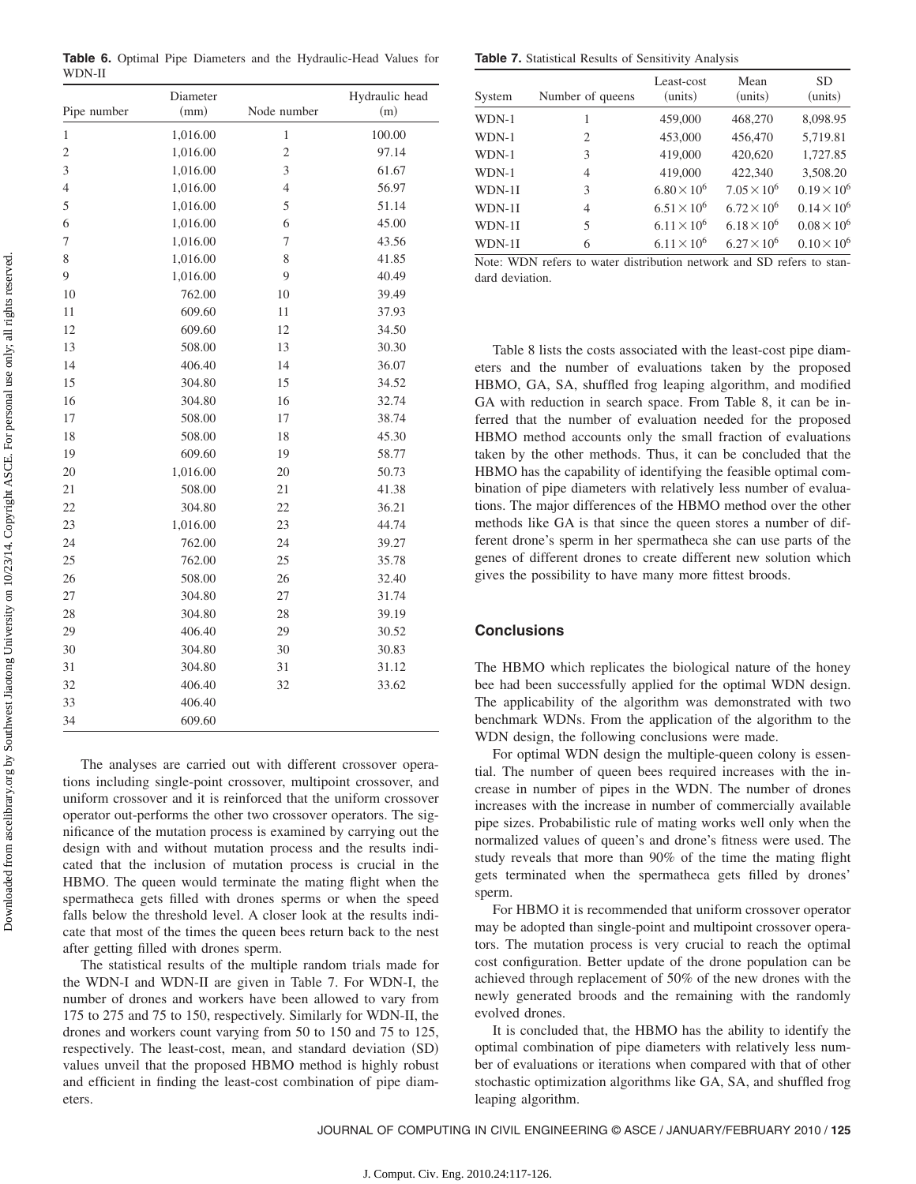| Pipe number<br>Node number<br>(mm)<br>(m)<br>1,016.00<br>$\mathbf{1}$<br>100.00<br>$\mathbf{1}$<br>$\overline{c}$<br>1,016.00<br>97.14<br>$\overline{\mathbf{c}}$<br>3<br>3<br>1,016.00<br>61.67<br>1,016.00<br>$\overline{4}$<br>56.97<br>$\overline{4}$<br>1,016.00<br>5<br>5<br>51.14<br>6<br>6<br>1,016.00<br>45.00<br>$\overline{7}$<br>7<br>1,016.00<br>43.56<br>8<br>8<br>1,016.00<br>41.85<br>9<br>1,016.00<br>9<br>40.49<br>762.00<br>10<br>10<br>39.49<br>11<br>609.60<br>11<br>37.93<br>12<br>609.60<br>12<br>34.50<br>508.00<br>13<br>13<br>30.30<br>14<br>406.40<br>14<br>36.07<br>304.80<br>15<br>15<br>34.52<br>16<br>16<br>304.80<br>32.74<br>508.00<br>17<br>17<br>38.74<br>18<br>18<br>508.00<br>45.30<br>19<br>609.60<br>19<br>58.77<br>1,016.00<br>20<br>20<br>50.73 | , | Diameter | Hydraulic head |
|------------------------------------------------------------------------------------------------------------------------------------------------------------------------------------------------------------------------------------------------------------------------------------------------------------------------------------------------------------------------------------------------------------------------------------------------------------------------------------------------------------------------------------------------------------------------------------------------------------------------------------------------------------------------------------------------------------------------------------------------------------------------------------------|---|----------|----------------|
|                                                                                                                                                                                                                                                                                                                                                                                                                                                                                                                                                                                                                                                                                                                                                                                          |   |          |                |
|                                                                                                                                                                                                                                                                                                                                                                                                                                                                                                                                                                                                                                                                                                                                                                                          |   |          |                |
|                                                                                                                                                                                                                                                                                                                                                                                                                                                                                                                                                                                                                                                                                                                                                                                          |   |          |                |
|                                                                                                                                                                                                                                                                                                                                                                                                                                                                                                                                                                                                                                                                                                                                                                                          |   |          |                |
|                                                                                                                                                                                                                                                                                                                                                                                                                                                                                                                                                                                                                                                                                                                                                                                          |   |          |                |
|                                                                                                                                                                                                                                                                                                                                                                                                                                                                                                                                                                                                                                                                                                                                                                                          |   |          |                |
|                                                                                                                                                                                                                                                                                                                                                                                                                                                                                                                                                                                                                                                                                                                                                                                          |   |          |                |
|                                                                                                                                                                                                                                                                                                                                                                                                                                                                                                                                                                                                                                                                                                                                                                                          |   |          |                |
|                                                                                                                                                                                                                                                                                                                                                                                                                                                                                                                                                                                                                                                                                                                                                                                          |   |          |                |
|                                                                                                                                                                                                                                                                                                                                                                                                                                                                                                                                                                                                                                                                                                                                                                                          |   |          |                |
|                                                                                                                                                                                                                                                                                                                                                                                                                                                                                                                                                                                                                                                                                                                                                                                          |   |          |                |
|                                                                                                                                                                                                                                                                                                                                                                                                                                                                                                                                                                                                                                                                                                                                                                                          |   |          |                |
|                                                                                                                                                                                                                                                                                                                                                                                                                                                                                                                                                                                                                                                                                                                                                                                          |   |          |                |
|                                                                                                                                                                                                                                                                                                                                                                                                                                                                                                                                                                                                                                                                                                                                                                                          |   |          |                |
|                                                                                                                                                                                                                                                                                                                                                                                                                                                                                                                                                                                                                                                                                                                                                                                          |   |          |                |
|                                                                                                                                                                                                                                                                                                                                                                                                                                                                                                                                                                                                                                                                                                                                                                                          |   |          |                |
|                                                                                                                                                                                                                                                                                                                                                                                                                                                                                                                                                                                                                                                                                                                                                                                          |   |          |                |
|                                                                                                                                                                                                                                                                                                                                                                                                                                                                                                                                                                                                                                                                                                                                                                                          |   |          |                |
|                                                                                                                                                                                                                                                                                                                                                                                                                                                                                                                                                                                                                                                                                                                                                                                          |   |          |                |
|                                                                                                                                                                                                                                                                                                                                                                                                                                                                                                                                                                                                                                                                                                                                                                                          |   |          |                |
|                                                                                                                                                                                                                                                                                                                                                                                                                                                                                                                                                                                                                                                                                                                                                                                          |   |          |                |
| 21<br>508.00<br>21<br>41.38                                                                                                                                                                                                                                                                                                                                                                                                                                                                                                                                                                                                                                                                                                                                                              |   |          |                |
| 22<br>304.80<br>22<br>36.21                                                                                                                                                                                                                                                                                                                                                                                                                                                                                                                                                                                                                                                                                                                                                              |   |          |                |
| 23<br>1,016.00<br>23<br>44.74                                                                                                                                                                                                                                                                                                                                                                                                                                                                                                                                                                                                                                                                                                                                                            |   |          |                |
| 24<br>762.00<br>24<br>39.27                                                                                                                                                                                                                                                                                                                                                                                                                                                                                                                                                                                                                                                                                                                                                              |   |          |                |
| 25<br>762.00<br>25<br>35.78                                                                                                                                                                                                                                                                                                                                                                                                                                                                                                                                                                                                                                                                                                                                                              |   |          |                |
| 26<br>508.00<br>26<br>32.40                                                                                                                                                                                                                                                                                                                                                                                                                                                                                                                                                                                                                                                                                                                                                              |   |          |                |
| 27<br>304.80<br>27<br>31.74                                                                                                                                                                                                                                                                                                                                                                                                                                                                                                                                                                                                                                                                                                                                                              |   |          |                |
| 304.80<br>28<br>28<br>39.19                                                                                                                                                                                                                                                                                                                                                                                                                                                                                                                                                                                                                                                                                                                                                              |   |          |                |
| 29<br>406.40<br>29<br>30.52                                                                                                                                                                                                                                                                                                                                                                                                                                                                                                                                                                                                                                                                                                                                                              |   |          |                |
| 30<br>304.80<br>30<br>30.83                                                                                                                                                                                                                                                                                                                                                                                                                                                                                                                                                                                                                                                                                                                                                              |   |          |                |
| 31<br>304.80<br>31<br>31.12                                                                                                                                                                                                                                                                                                                                                                                                                                                                                                                                                                                                                                                                                                                                                              |   |          |                |
| 32<br>406.40<br>32<br>33.62                                                                                                                                                                                                                                                                                                                                                                                                                                                                                                                                                                                                                                                                                                                                                              |   |          |                |
| 33<br>406.40                                                                                                                                                                                                                                                                                                                                                                                                                                                                                                                                                                                                                                                                                                                                                                             |   |          |                |
| 609.60<br>34                                                                                                                                                                                                                                                                                                                                                                                                                                                                                                                                                                                                                                                                                                                                                                             |   |          |                |

**Table 6.** Optimal Pipe Diameters and the Hydraulic-Head Values for WDN-II

The analyses are carried out with different crossover operations including single-point crossover, multipoint crossover, and uniform crossover and it is reinforced that the uniform crossover operator out-performs the other two crossover operators. The significance of the mutation process is examined by carrying out the design with and without mutation process and the results indicated that the inclusion of mutation process is crucial in the HBMO. The queen would terminate the mating flight when the spermatheca gets filled with drones sperms or when the speed falls below the threshold level. A closer look at the results indicate that most of the times the queen bees return back to the nest after getting filled with drones sperm.

The statistical results of the multiple random trials made for the WDN-I and WDN-II are given in Table 7. For WDN-I, the number of drones and workers have been allowed to vary from 175 to 275 and 75 to 150, respectively. Similarly for WDN-II, the drones and workers count varying from 50 to 150 and 75 to 125, respectively. The least-cost, mean, and standard deviation (SD) values unveil that the proposed HBMO method is highly robust and efficient in finding the least-cost combination of pipe diameters.

**Table 7.** Statistical Results of Sensitivity Analysis

| System | Number of queens | Least-cost<br>(units) | Mean<br>(units)      | SD<br>(units)        |
|--------|------------------|-----------------------|----------------------|----------------------|
| WDN-1  | 1                | 459,000               | 468,270              | 8,098.95             |
| WDN-1  | $\mathfrak{D}$   | 453,000               | 456,470              | 5,719.81             |
| WDN-1  | 3                | 419,000               | 420,620              | 1,727.85             |
| WDN-1  | 4                | 419,000               | 422,340              | 3,508.20             |
| WDN-1I | 3                | $6.80 \times 10^{6}$  | $7.05 \times 10^6$   | $0.19 \times 10^{6}$ |
| WDN-1I | 4                | $6.51 \times 10^{6}$  | $6.72 \times 10^{6}$ | $0.14 \times 10^6$   |
| WDN-1I | 5                | $6.11 \times 10^{6}$  | $6.18 \times 10^{6}$ | $0.08 \times 10^{6}$ |
| WDN-1I | 6                | $6.11 \times 10^{6}$  | $6.27 \times 10^{6}$ | $0.10 \times 10^{6}$ |

Note: WDN refers to water distribution network and SD refers to standard deviation.

Table 8 lists the costs associated with the least-cost pipe diameters and the number of evaluations taken by the proposed HBMO, GA, SA, shuffled frog leaping algorithm, and modified GA with reduction in search space. From Table 8, it can be inferred that the number of evaluation needed for the proposed HBMO method accounts only the small fraction of evaluations taken by the other methods. Thus, it can be concluded that the HBMO has the capability of identifying the feasible optimal combination of pipe diameters with relatively less number of evaluations. The major differences of the HBMO method over the other methods like GA is that since the queen stores a number of different drone's sperm in her spermatheca she can use parts of the genes of different drones to create different new solution which gives the possibility to have many more fittest broods.

## **Conclusions**

The HBMO which replicates the biological nature of the honey bee had been successfully applied for the optimal WDN design. The applicability of the algorithm was demonstrated with two benchmark WDNs. From the application of the algorithm to the WDN design, the following conclusions were made.

For optimal WDN design the multiple-queen colony is essential. The number of queen bees required increases with the increase in number of pipes in the WDN. The number of drones increases with the increase in number of commercially available pipe sizes. Probabilistic rule of mating works well only when the normalized values of queen's and drone's fitness were used. The study reveals that more than 90% of the time the mating flight gets terminated when the spermatheca gets filled by drones' sperm.

For HBMO it is recommended that uniform crossover operator may be adopted than single-point and multipoint crossover operators. The mutation process is very crucial to reach the optimal cost configuration. Better update of the drone population can be achieved through replacement of 50% of the new drones with the newly generated broods and the remaining with the randomly evolved drones.

It is concluded that, the HBMO has the ability to identify the optimal combination of pipe diameters with relatively less number of evaluations or iterations when compared with that of other stochastic optimization algorithms like GA, SA, and shuffled frog leaping algorithm.